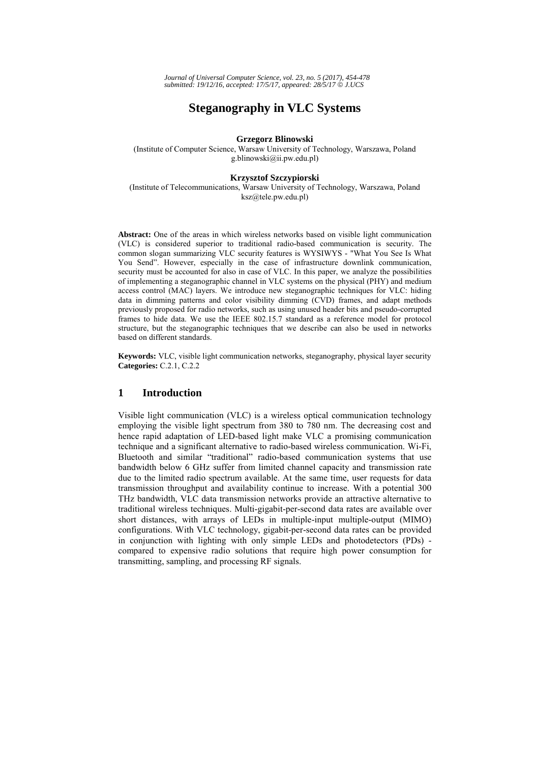# **Steganography in VLC Systems**

#### **Grzegorz Blinowski**

(Institute of Computer Science, Warsaw University of Technology, Warszawa, Poland g.blinowski@ii.pw.edu.pl)

#### **Krzysztof Szczypiorski**

(Institute of Telecommunications, Warsaw University of Technology, Warszawa, Poland ksz@tele.pw.edu.pl)

**Abstract:** One of the areas in which wireless networks based on visible light communication (VLC) is considered superior to traditional radio-based communication is security. The common slogan summarizing VLC security features is WYSIWYS - "What You See Is What You Send". However, especially in the case of infrastructure downlink communication, security must be accounted for also in case of VLC. In this paper, we analyze the possibilities of implementing a steganographic channel in VLC systems on the physical (PHY) and medium access control (MAC) layers. We introduce new steganographic techniques for VLC: hiding data in dimming patterns and color visibility dimming (CVD) frames, and adapt methods previously proposed for radio networks, such as using unused header bits and pseudo-corrupted frames to hide data. We use the IEEE 802.15.7 standard as a reference model for protocol structure, but the steganographic techniques that we describe can also be used in networks based on different standards.

**Keywords:** VLC, visible light communication networks, steganography, physical layer security **Categories:** C.2.1, C.2.2

# **1 Introduction**

Visible light communication (VLC) is a wireless optical communication technology employing the visible light spectrum from 380 to 780 nm. The decreasing cost and hence rapid adaptation of LED-based light make VLC a promising communication technique and a significant alternative to radio-based wireless communication. Wi-Fi, Bluetooth and similar "traditional" radio-based communication systems that use bandwidth below 6 GHz suffer from limited channel capacity and transmission rate due to the limited radio spectrum available. At the same time, user requests for data transmission throughput and availability continue to increase. With a potential 300 THz bandwidth, VLC data transmission networks provide an attractive alternative to traditional wireless techniques. Multi-gigabit-per-second data rates are available over short distances, with arrays of LEDs in multiple-input multiple-output (MIMO) configurations. With VLC technology, gigabit-per-second data rates can be provided in conjunction with lighting with only simple LEDs and photodetectors (PDs) compared to expensive radio solutions that require high power consumption for transmitting, sampling, and processing RF signals.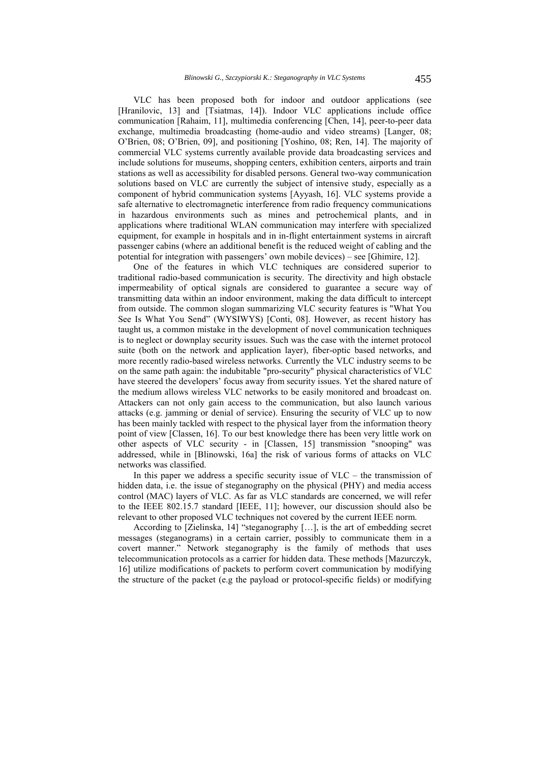VLC has been proposed both for indoor and outdoor applications (see [Hranilovic, 13] and [Tsiatmas, 14]). Indoor VLC applications include office communication [Rahaim, 11], multimedia conferencing [Chen, 14], peer-to-peer data exchange, multimedia broadcasting (home-audio and video streams) [Langer, 08; O'Brien, 08; O'Brien, 09], and positioning [Yoshino, 08; Ren, 14]. The majority of commercial VLC systems currently available provide data broadcasting services and include solutions for museums, shopping centers, exhibition centers, airports and train stations as well as accessibility for disabled persons. General two-way communication solutions based on VLC are currently the subject of intensive study, especially as a component of hybrid communication systems [Ayyash, 16]. VLC systems provide a safe alternative to electromagnetic interference from radio frequency communications in hazardous environments such as mines and petrochemical plants, and in applications where traditional WLAN communication may interfere with specialized equipment, for example in hospitals and in in-flight entertainment systems in aircraft passenger cabins (where an additional benefit is the reduced weight of cabling and the potential for integration with passengers' own mobile devices) – see [Ghimire, 12].

One of the features in which VLC techniques are considered superior to traditional radio-based communication is security. The directivity and high obstacle impermeability of optical signals are considered to guarantee a secure way of transmitting data within an indoor environment, making the data difficult to intercept from outside. The common slogan summarizing VLC security features is "What You See Is What You Send" (WYSIWYS) [Conti, 08]. However, as recent history has taught us, a common mistake in the development of novel communication techniques is to neglect or downplay security issues. Such was the case with the internet protocol suite (both on the network and application layer), fiber-optic based networks, and more recently radio-based wireless networks. Currently the VLC industry seems to be on the same path again: the indubitable "pro-security" physical characteristics of VLC have steered the developers' focus away from security issues. Yet the shared nature of the medium allows wireless VLC networks to be easily monitored and broadcast on. Attackers can not only gain access to the communication, but also launch various attacks (e.g. jamming or denial of service). Ensuring the security of VLC up to now has been mainly tackled with respect to the physical layer from the information theory point of view [Classen, 16]. To our best knowledge there has been very little work on other aspects of VLC security - in [Classen, 15] transmission "snooping" was addressed, while in [Blinowski, 16a] the risk of various forms of attacks on VLC networks was classified.

In this paper we address a specific security issue of  $V<sub>LC</sub>$  – the transmission of hidden data, i.e. the issue of steganography on the physical (PHY) and media access control (MAC) layers of VLC. As far as VLC standards are concerned, we will refer to the IEEE 802.15.7 standard [IEEE, 11]; however, our discussion should also be relevant to other proposed VLC techniques not covered by the current IEEE norm.

According to [Zielinska, 14] "steganography […], is the art of embedding secret messages (steganograms) in a certain carrier, possibly to communicate them in a covert manner." Network steganography is the family of methods that uses telecommunication protocols as a carrier for hidden data. These methods [Mazurczyk, 16] utilize modifications of packets to perform covert communication by modifying the structure of the packet (e.g the payload or protocol-specific fields) or modifying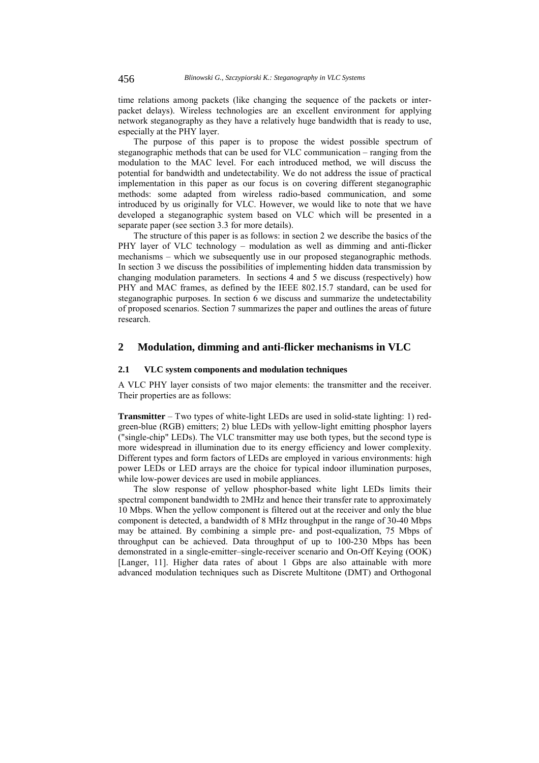time relations among packets (like changing the sequence of the packets or interpacket delays). Wireless technologies are an excellent environment for applying network steganography as they have a relatively huge bandwidth that is ready to use, especially at the PHY layer.

The purpose of this paper is to propose the widest possible spectrum of steganographic methods that can be used for VLC communication – ranging from the modulation to the MAC level. For each introduced method, we will discuss the potential for bandwidth and undetectability. We do not address the issue of practical implementation in this paper as our focus is on covering different steganographic methods: some adapted from wireless radio-based communication, and some introduced by us originally for VLC. However, we would like to note that we have developed a steganographic system based on VLC which will be presented in a separate paper (see section 3.3 for more details).

The structure of this paper is as follows: in section 2 we describe the basics of the PHY layer of VLC technology – modulation as well as dimming and anti-flicker mechanisms – which we subsequently use in our proposed steganographic methods. In section 3 we discuss the possibilities of implementing hidden data transmission by changing modulation parameters. In sections 4 and 5 we discuss (respectively) how PHY and MAC frames, as defined by the IEEE 802.15.7 standard, can be used for steganographic purposes. In section  $6 \text{ we discuss and summarize the undetectability}$ of proposed scenarios. Section 7 summarizes the paper and outlines the areas of future research.

# **2 Modulation, dimming and anti-flicker mechanisms in VLC**

#### **2.1 VLC system components and modulation techniques**

A VLC PHY layer consists of two major elements: the transmitter and the receiver. Their properties are as follows:

**Transmitter** – Two types of white-light LEDs are used in solid-state lighting: 1) redgreen-blue (RGB) emitters; 2) blue LEDs with yellow-light emitting phosphor layers ("single-chip" LEDs). The VLC transmitter may use both types, but the second type is more widespread in illumination due to its energy efficiency and lower complexity. Different types and form factors of LEDs are employed in various environments: high power LEDs or LED arrays are the choice for typical indoor illumination purposes, while low-power devices are used in mobile appliances.

The slow response of yellow phosphor-based white light LEDs limits their spectral component bandwidth to 2MHz and hence their transfer rate to approximately 10 Mbps. When the yellow component is filtered out at the receiver and only the blue component is detected, a bandwidth of 8 MHz throughput in the range of 30-40 Mbps may be attained. By combining a simple pre- and post-equalization, 75 Mbps of throughput can be achieved. Data throughput of up to 100-230 Mbps has been demonstrated in a single-emitter–single-receiver scenario and On-Off Keying (OOK) [Langer, 11]. Higher data rates of about 1 Gbps are also attainable with more advanced modulation techniques such as Discrete Multitone (DMT) and Orthogonal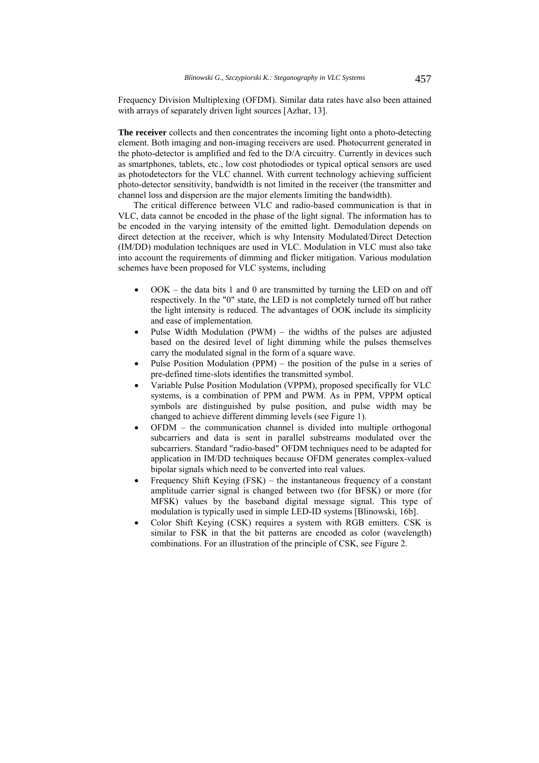Frequency Division Multiplexing (OFDM). Similar data rates have also been attained with arrays of separately driven light sources [Azhar, 13].

**The receiver** collects and then concentrates the incoming light onto a photo-detecting element. Both imaging and non-imaging receivers are used. Photocurrent generated in the photo-detector is amplified and fed to the D/A circuitry. Currently in devices such as smartphones, tablets, etc., low cost photodiodes or typical optical sensors are used as photodetectors for the VLC channel. With current technology achieving sufficient photo-detector sensitivity, bandwidth is not limited in the receiver (the transmitter and channel loss and dispersion are the major elements limiting the bandwidth).

The critical difference between VLC and radio-based communication is that in VLC, data cannot be encoded in the phase of the light signal. The information has to be encoded in the varying intensity of the emitted light. Demodulation depends on direct detection at the receiver, which is why Intensity Modulated/Direct Detection (IM/DD) modulation techniques are used in VLC. Modulation in VLC must also take into account the requirements of dimming and flicker mitigation. Various modulation schemes have been proposed for VLC systems, including

- OOK the data bits 1 and 0 are transmitted by turning the LED on and off respectively. In the "0" state, the LED is not completely turned off but rather the light intensity is reduced. The advantages of OOK include its simplicity and ease of implementation.
- Pulse Width Modulation (PWM) the widths of the pulses are adjusted based on the desired level of light dimming while the pulses themselves carry the modulated signal in the form of a square wave.
- Pulse Position Modulation (PPM) the position of the pulse in a series of pre-defined time-slots identifies the transmitted symbol.
- Variable Pulse Position Modulation (VPPM), proposed specifically for VLC systems, is a combination of PPM and PWM. As in PPM, VPPM optical symbols are distinguished by pulse position, and pulse width may be changed to achieve different dimming levels (see Figure 1).
- OFDM the communication channel is divided into multiple orthogonal subcarriers and data is sent in parallel substreams modulated over the subcarriers. Standard "radio-based" OFDM techniques need to be adapted for application in IM/DD techniques because OFDM generates complex-valued bipolar signals which need to be converted into real values.
- Frequency Shift Keying (FSK) the instantaneous frequency of a constant amplitude carrier signal is changed between two (for BFSK) or more (for MFSK) values by the baseband digital message signal. This type of modulation is typically used in simple LED-ID systems [Blinowski, 16b].
- Color Shift Keying (CSK) requires a system with RGB emitters. CSK is similar to FSK in that the bit patterns are encoded as color (wavelength) combinations. For an illustration of the principle of CSK, see Figure 2.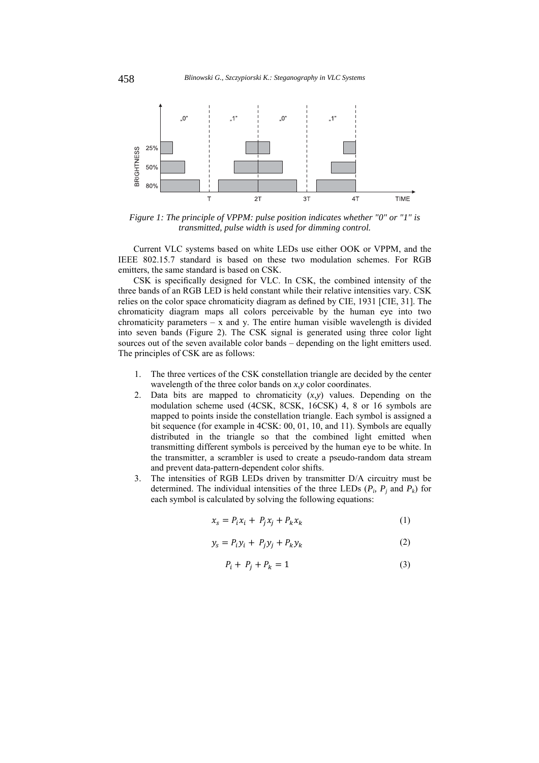

*Figure 1: The principle of VPPM: pulse position indicates whether "0" or "1" is transmitted, pulse width is used for dimming control.* 

Current VLC systems based on white LEDs use either OOK or VPPM, and the IEEE 802.15.7 standard is based on these two modulation schemes. For RGB emitters, the same standard is based on CSK.

CSK is specifically designed for VLC. In CSK, the combined intensity of the three bands of an RGB LED is held constant while their relative intensities vary. CSK relies on the color space chromaticity diagram as defined by CIE, 1931 [CIE, 31]. The chromaticity diagram maps all colors perceivable by the human eye into two chromaticity parameters  $- x$  and y. The entire human visible wavelength is divided into seven bands (Figure 2). The CSK signal is generated using three color light sources out of the seven available color bands – depending on the light emitters used. The principles of CSK are as follows:

- 1. The three vertices of the CSK constellation triangle are decided by the center wavelength of the three color bands on *x*,*y* color coordinates.
- 2. Data bits are mapped to chromaticity  $(x,y)$  values. Depending on the modulation scheme used (4CSK, 8CSK, 16CSK) 4, 8 or 16 symbols are mapped to points inside the constellation triangle. Each symbol is assigned a bit sequence (for example in 4CSK: 00, 01, 10, and 11). Symbols are equally distributed in the triangle so that the combined light emitted when transmitting different symbols is perceived by the human eye to be white. In the transmitter, a scrambler is used to create a pseudo-random data stream and prevent data-pattern-dependent color shifts.
- 3. The intensities of RGB LEDs driven by transmitter D/A circuitry must be determined. The individual intensities of the three LEDs  $(P_i, P_j \text{ and } P_k)$  for each symbol is calculated by solving the following equations:

$$
x_s = P_i x_i + P_j x_j + P_k x_k \tag{1}
$$

$$
y_s = P_i y_i + P_j y_j + P_k y_k \tag{2}
$$

$$
P_i + P_j + P_k = 1 \tag{3}
$$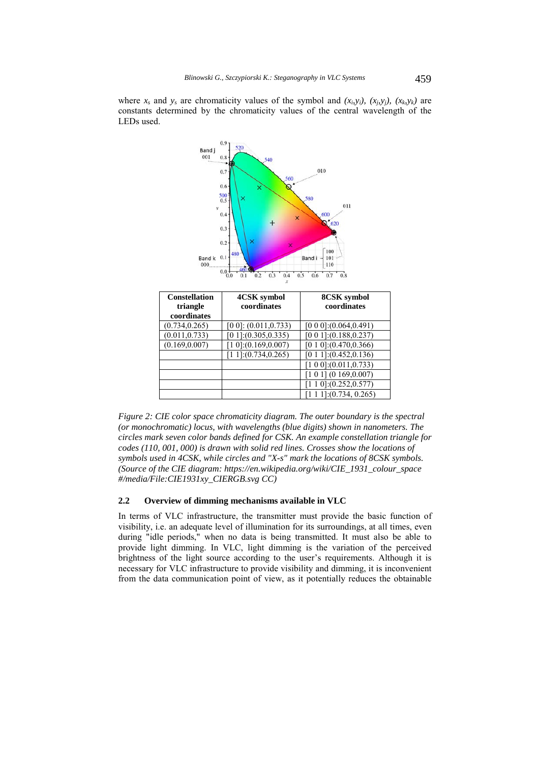



| <b>Constellation</b><br>triangle | 4CSK symbol<br>coordinates | 8CSK symbol<br>coordinates   |
|----------------------------------|----------------------------|------------------------------|
| coordinates                      |                            |                              |
| (0.734, 0.265)                   | $[0 0]$ : $(0.011, 0.733)$ | $[0 0 0]$ : $(0.064, 0.491)$ |
| (0.011, 0.733)                   | [0 1]:(0.305, 0.335)       | $[0 0 1]$ : $(0.188, 0.237)$ |
| (0.169, 0.007)                   | $[1 0]$ : $(0.169, 0.007)$ | $[0 1 0]$ : $(0.470, 0.366)$ |
|                                  | [1 1]:(0.734,0.265)        | $[0 1 1]$ : $(0.452, 0.136)$ |
|                                  |                            | [1 0 0]:(0.011,0.733)        |
|                                  |                            | [1 0 1] (0 169, 0.007)       |
|                                  |                            | [1 1 0]:(0.252,0.577)        |
|                                  |                            | $[1 1 1]$ : (0.734, 0.265)   |

*Figure 2: CIE color space chromaticity diagram. The outer boundary is the spectral (or monochromatic) locus, with wavelengths (blue digits) shown in nanometers. The circles mark seven color bands defined for CSK. An example constellation triangle for codes (110, 001, 000) is drawn with solid red lines. Crosses show the locations of symbols used in 4CSK, while circles and "X-s" mark the locations of 8CSK symbols. (Source of the CIE diagram: https://en.wikipedia.org/wiki/CIE\_1931\_colour\_space #/media/File:CIE1931xy\_CIERGB.svg CC)* 

#### **2.2 Overview of dimming mechanisms available in VLC**

In terms of VLC infrastructure, the transmitter must provide the basic function of visibility, i.e. an adequate level of illumination for its surroundings, at all times, even during "idle periods," when no data is being transmitted. It must also be able to provide light dimming. In VLC, light dimming is the variation of the perceived brightness of the light source according to the user's requirements. Although it is necessary for VLC infrastructure to provide visibility and dimming, it is inconvenient from the data communication point of view, as it potentially reduces the obtainable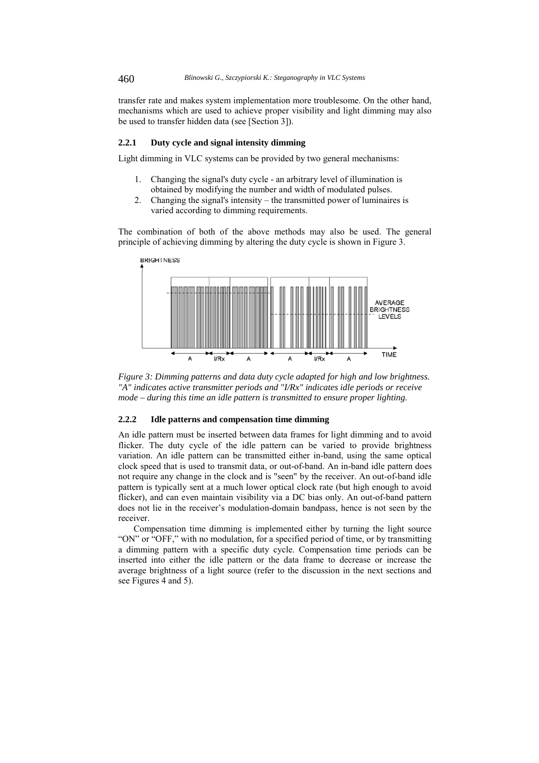transfer rate and makes system implementation more troublesome. On the other hand, mechanisms which are used to achieve proper visibility and light dimming may also be used to transfer hidden data (see [Section 3]).

## **2.2.1 Duty cycle and signal intensity dimming**

Light dimming in VLC systems can be provided by two general mechanisms:

- 1. Changing the signal's duty cycle an arbitrary level of illumination is obtained by modifying the number and width of modulated pulses.
- 2. Changing the signal's intensity the transmitted power of luminaires is varied according to dimming requirements.

The combination of both of the above methods may also be used. The general principle of achieving dimming by altering the duty cycle is shown in Figure 3.



*Figure 3: Dimming patterns and data duty cycle adapted for high and low brightness. "A" indicates active transmitter periods and "I/Rx" indicates idle periods or receive mode – during this time an idle pattern is transmitted to ensure proper lighting.* 

#### **2.2.2 Idle patterns and compensation time dimming**

An idle pattern must be inserted between data frames for light dimming and to avoid flicker. The duty cycle of the idle pattern can be varied to provide brightness variation. An idle pattern can be transmitted either in-band, using the same optical clock speed that is used to transmit data, or out-of-band. An in-band idle pattern does not require any change in the clock and is "seen" by the receiver. An out-of-band idle pattern is typically sent at a much lower optical clock rate (but high enough to avoid flicker), and can even maintain visibility via a DC bias only. An out-of-band pattern does not lie in the receiver's modulation-domain bandpass, hence is not seen by the receiver.

Compensation time dimming is implemented either by turning the light source "ON" or "OFF," with no modulation, for a specified period of time, or by transmitting a dimming pattern with a specific duty cycle. Compensation time periods can be inserted into either the idle pattern or the data frame to decrease or increase the average brightness of a light source (refer to the discussion in the next sections and see Figures 4 and 5).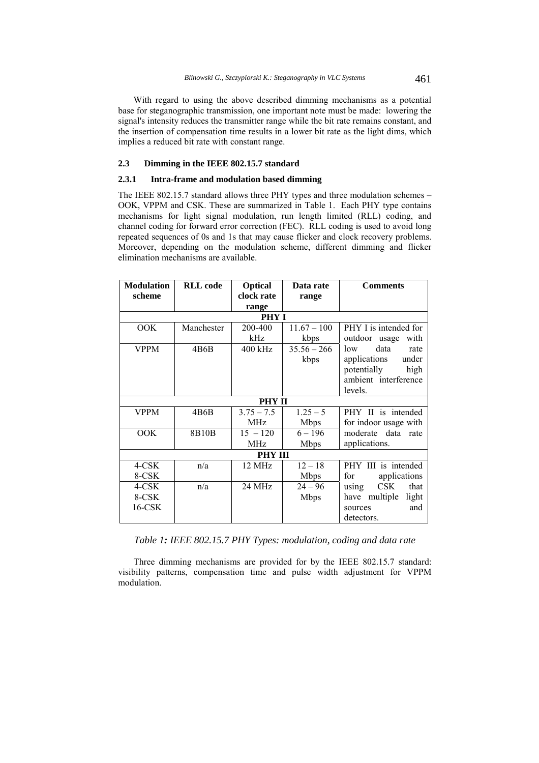With regard to using the above described dimming mechanisms as a potential base for steganographic transmission, one important note must be made: lowering the signal's intensity reduces the transmitter range while the bit rate remains constant, and the insertion of compensation time results in a lower bit rate as the light dims, which implies a reduced bit rate with constant range.

## **2.3 Dimming in the IEEE 802.15.7 standard**

### **2.3.1 Intra-frame and modulation based dimming**

The IEEE 802.15.7 standard allows three PHY types and three modulation schemes – OOK, VPPM and CSK. These are summarized in Table 1. Each PHY type contains mechanisms for light signal modulation, run length limited (RLL) coding, and channel coding for forward error correction (FEC). RLL coding is used to avoid long repeated sequences of 0s and 1s that may cause flicker and clock recovery problems. Moreover, depending on the modulation scheme, different dimming and flicker elimination mechanisms are available.

| <b>Modulation</b> | <b>RLL</b> code | Optical        | Data rate     | <b>Comments</b>             |
|-------------------|-----------------|----------------|---------------|-----------------------------|
| scheme            |                 | clock rate     | range         |                             |
|                   |                 | range          |               |                             |
|                   |                 | <b>PHY I</b>   |               |                             |
| OOK               | Manchester      | 200-400        | $11.67 - 100$ | PHY I is intended for       |
|                   |                 | kHz            | kbps          | outdoor usage<br>with       |
| <b>VPPM</b>       | 4B6B            | $400$ kHz      | $35.56 - 266$ | data<br>low<br>rate         |
|                   |                 |                | kbps          | applications<br>under       |
|                   |                 |                |               | potentially<br>high         |
|                   |                 |                |               | ambient interference        |
|                   |                 |                |               | levels.                     |
|                   |                 | <b>PHY II</b>  |               |                             |
| <b>VPPM</b>       | 4B6B            | $3.75 - 7.5$   | $1.25 - 5$    | PHY II is intended          |
|                   |                 | <b>MHz</b>     | <b>Mbps</b>   | for indoor usage with       |
| OOK               | 8B10B           | $15 - 120$     | $6 - 196$     | moderate data rate          |
|                   |                 | MHz            | <b>Mbps</b>   | applications.               |
|                   |                 | <b>PHY III</b> |               |                             |
| 4-CSK             | n/a             | 12 MHz         | $12 - 18$     | PHY III is intended         |
| 8-CSK             |                 |                | <b>Mbps</b>   | for<br>applications         |
| 4-CSK             | n/a             | 24 MHz         | $24 - 96$     | <b>CSK</b><br>that<br>using |
| 8-CSK             |                 |                | <b>Mbps</b>   | multiple<br>have<br>light   |
| $16$ -CSK         |                 |                |               | and<br>sources              |
|                   |                 |                |               | detectors.                  |

*Table 1: IEEE 802.15.7 PHY Types: modulation, coding and data rate*

Three dimming mechanisms are provided for by the IEEE 802.15.7 standard: visibility patterns, compensation time and pulse width adjustment for VPPM modulation.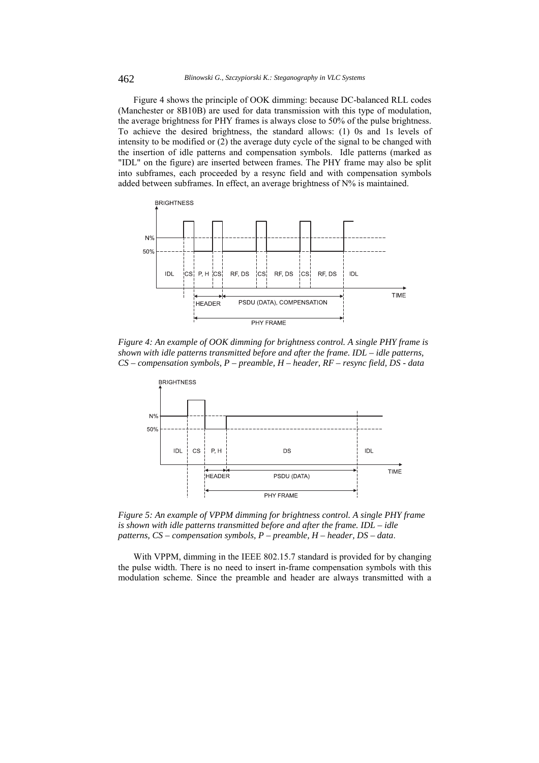Figure 4 shows the principle of OOK dimming: because DC-balanced RLL codes (Manchester or 8B10B) are used for data transmission with this type of modulation, the average brightness for PHY frames is always close to 50% of the pulse brightness. To achieve the desired brightness, the standard allows: (1) 0s and 1s levels of intensity to be modified or (2) the average duty cycle of the signal to be changed with the insertion of idle patterns and compensation symbols. Idle patterns (marked as "IDL" on the figure) are inserted between frames. The PHY frame may also be split into subframes, each proceeded by a resync field and with compensation symbols added between subframes. In effect, an average brightness of N% is maintained.



*Figure 4: An example of OOK dimming for brightness control. A single PHY frame is shown with idle patterns transmitted before and after the frame. IDL – idle patterns, CS – compensation symbols, P – preamble, H – header, RF – resync field, DS - data* 



*Figure 5: An example of VPPM dimming for brightness control. A single PHY frame is shown with idle patterns transmitted before and after the frame. IDL – idle patterns, CS – compensation symbols, P – preamble, H – header, DS – data*.

With VPPM, dimming in the IEEE 802.15.7 standard is provided for by changing the pulse width. There is no need to insert in-frame compensation symbols with this modulation scheme. Since the preamble and header are always transmitted with a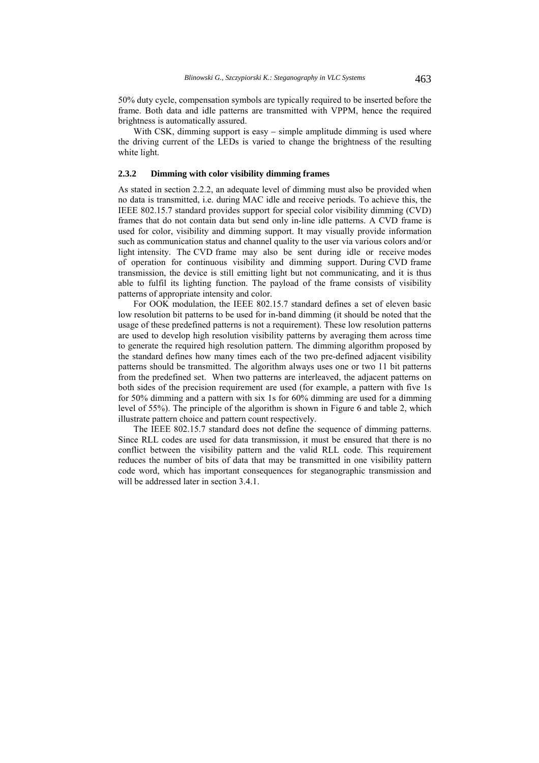50% duty cycle, compensation symbols are typically required to be inserted before the frame. Both data and idle patterns are transmitted with VPPM, hence the required brightness is automatically assured.

With CSK, dimming support is easy – simple amplitude dimming is used where the driving current of the LEDs is varied to change the brightness of the resulting white light.

## **2.3.2 Dimming with color visibility dimming frames**

As stated in section 2.2.2, an adequate level of dimming must also be provided when no data is transmitted, i.e. during MAC idle and receive periods. To achieve this, the IEEE 802.15.7 standard provides support for special color visibility dimming (CVD) frames that do not contain data but send only in-line idle patterns. A CVD frame is used for color, visibility and dimming support. It may visually provide information such as communication status and channel quality to the user via various colors and/or light intensity. The CVD frame may also be sent during idle or receive modes of operation for continuous visibility and dimming support. During CVD frame transmission, the device is still emitting light but not communicating, and it is thus able to fulfil its lighting function. The payload of the frame consists of visibility patterns of appropriate intensity and color.

For OOK modulation, the IEEE 802.15.7 standard defines a set of eleven basic low resolution bit patterns to be used for in-band dimming (it should be noted that the usage of these predefined patterns is not a requirement). These low resolution patterns are used to develop high resolution visibility patterns by averaging them across time to generate the required high resolution pattern. The dimming algorithm proposed by the standard defines how many times each of the two pre-defined adjacent visibility patterns should be transmitted. The algorithm always uses one or two 11 bit patterns from the predefined set. When two patterns are interleaved, the adjacent patterns on both sides of the precision requirement are used (for example, a pattern with five 1s for 50% dimming and a pattern with six 1s for 60% dimming are used for a dimming level of 55%). The principle of the algorithm is shown in Figure 6 and table 2, which illustrate pattern choice and pattern count respectively.

The IEEE 802.15.7 standard does not define the sequence of dimming patterns. Since RLL codes are used for data transmission, it must be ensured that there is no conflict between the visibility pattern and the valid RLL code. This requirement reduces the number of bits of data that may be transmitted in one visibility pattern code word, which has important consequences for steganographic transmission and will be addressed later in section 3.4.1.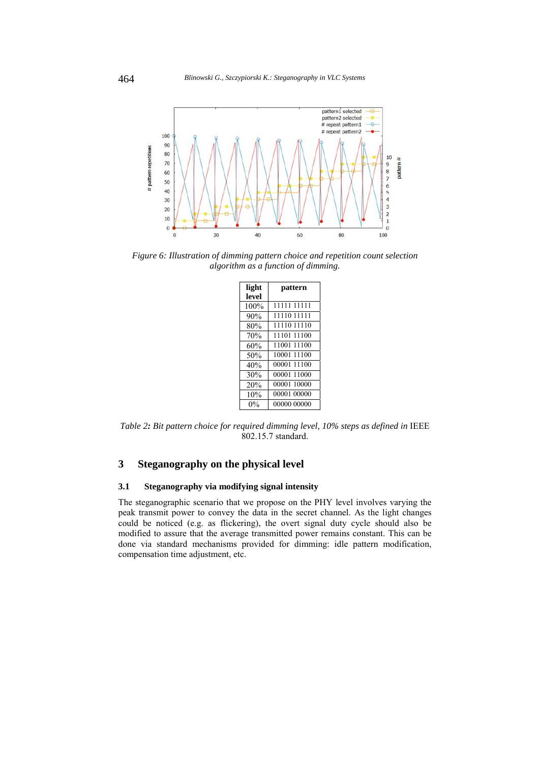

*Figure 6: Illustration of dimming pattern choice and repetition count selection algorithm as a function of dimming.* 

| light | pattern     |
|-------|-------------|
| level |             |
| 100%  | 11111 11111 |
| 90%   | 11110 11111 |
| 80%   | 11110 11110 |
| 70%   | 11101 11100 |
| 60%   | 11001 11100 |
| 50%   | 10001 11100 |
| 40%   | 00001 11100 |
| 30%   | 00001 11000 |
| 20%   | 00001 10000 |
| 10%   | 00001 00000 |
| $0\%$ | 00000 00000 |

*Table 2: Bit pattern choice for required dimming level, 10% steps as defined in* IEEE 802.15.7 standard.

# **3 Steganography on the physical level**

## **3.1 Steganography via modifying signal intensity**

The steganographic scenario that we propose on the PHY level involves varying the peak transmit power to convey the data in the secret channel. As the light changes could be noticed (e.g. as flickering), the overt signal duty cycle should also be modified to assure that the average transmitted power remains constant. This can be done via standard mechanisms provided for dimming: idle pattern modification, compensation time adjustment, etc.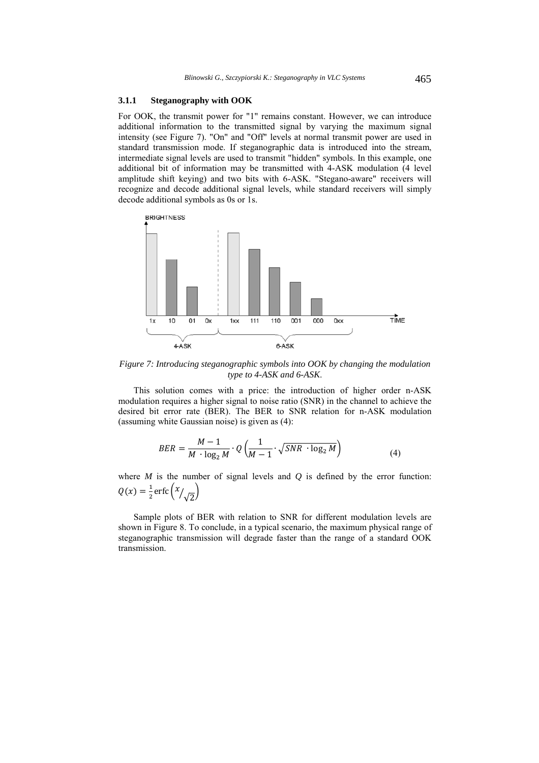# **3.1.1 Steganography with OOK**

For OOK, the transmit power for "1" remains constant. However, we can introduce additional information to the transmitted signal by varying the maximum signal intensity (see Figure 7). "On" and "Off" levels at normal transmit power are used in standard transmission mode. If steganographic data is introduced into the stream, intermediate signal levels are used to transmit "hidden" symbols. In this example, one additional bit of information may be transmitted with 4-ASK modulation (4 level amplitude shift keying) and two bits with 6-ASK. "Stegano-aware" receivers will recognize and decode additional signal levels, while standard receivers will simply decode additional symbols as 0s or 1s.



*Figure 7: Introducing steganographic symbols into OOK by changing the modulation type to 4-ASK and 6-ASK*.

This solution comes with a price: the introduction of higher order n-ASK modulation requires a higher signal to noise ratio (SNR) in the channel to achieve the desired bit error rate (BER). The BER to SNR relation for n-ASK modulation (assuming white Gaussian noise) is given as (4):

$$
BER = \frac{M-1}{M \cdot \log_2 M} \cdot Q\left(\frac{1}{M-1} \cdot \sqrt{SNR \cdot \log_2 M}\right)
$$
(4)

where  $M$  is the number of signal levels and  $Q$  is defined by the error function:  $Q(x) = \frac{1}{2} \text{erfc}\left(\frac{x}{\sqrt{2}}\right)$ 

Sample plots of BER with relation to SNR for different modulation levels are shown in Figure 8. To conclude, in a typical scenario, the maximum physical range of steganographic transmission will degrade faster than the range of a standard OOK transmission.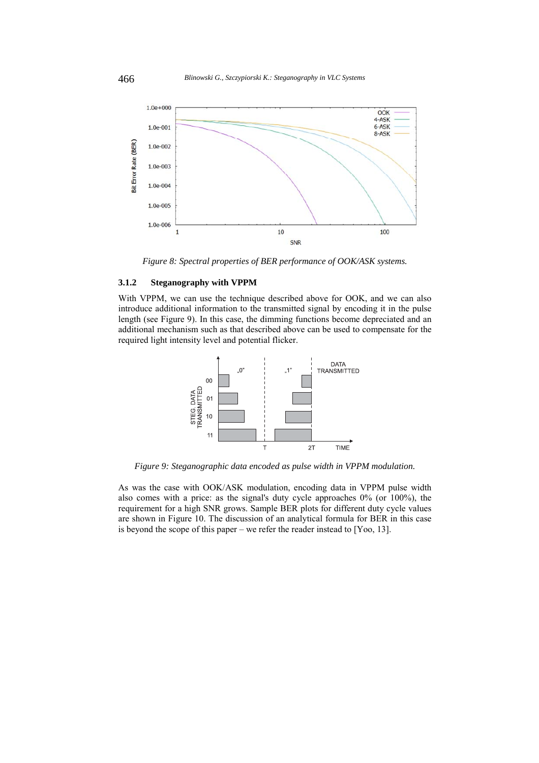

*Figure 8: Spectral properties of BER performance of OOK/ASK systems.* 

## **3.1.2 Steganography with VPPM**

With VPPM, we can use the technique described above for OOK, and we can also introduce additional information to the transmitted signal by encoding it in the pulse length (see Figure 9). In this case, the dimming functions become depreciated and an additional mechanism such as that described above can be used to compensate for the required light intensity level and potential flicker.



*Figure 9: Steganographic data encoded as pulse width in VPPM modulation.* 

As was the case with OOK/ASK modulation, encoding data in VPPM pulse width also comes with a price: as the signal's duty cycle approaches  $0\%$  (or  $100\%$ ), the requirement for a high SNR grows. Sample BER plots for different duty cycle values are shown in Figure 10. The discussion of an analytical formula for BER in this case is beyond the scope of this paper – we refer the reader instead to [Yoo, 13].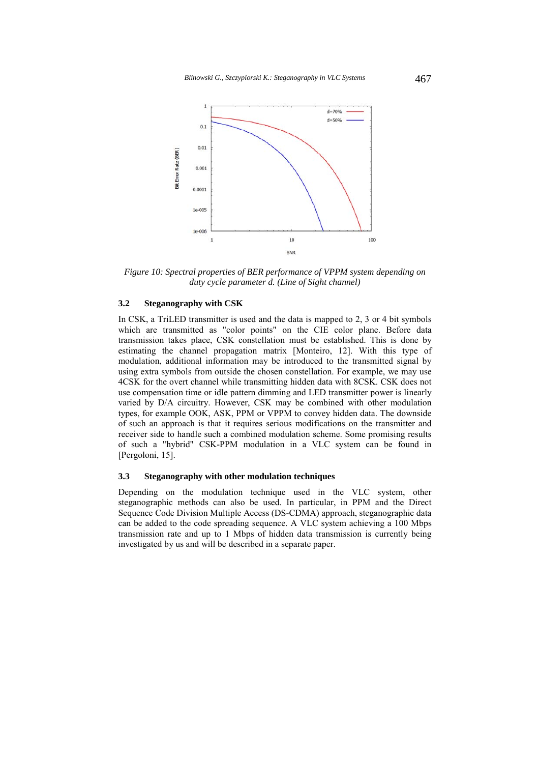

*Figure 10: Spectral properties of BER performance of VPPM system depending on duty cycle parameter d. (Line of Sight channel)* 

## **3.2 Steganography with CSK**

In CSK, a TriLED transmitter is used and the data is mapped to 2, 3 or 4 bit symbols which are transmitted as "color points" on the CIE color plane. Before data transmission takes place, CSK constellation must be established. This is done by estimating the channel propagation matrix [Monteiro, 12]. With this type of modulation, additional information may be introduced to the transmitted signal by using extra symbols from outside the chosen constellation. For example, we may use 4CSK for the overt channel while transmitting hidden data with 8CSK. CSK does not use compensation time or idle pattern dimming and LED transmitter power is linearly varied by D/A circuitry. However, CSK may be combined with other modulation types, for example OOK, ASK, PPM or VPPM to convey hidden data. The downside of such an approach is that it requires serious modifications on the transmitter and receiver side to handle such a combined modulation scheme. Some promising results of such a "hybrid" CSK-PPM modulation in a VLC system can be found in [Pergoloni, 15].

### **3.3 Steganography with other modulation techniques**

Depending on the modulation technique used in the VLC system, other steganographic methods can also be used. In particular, in PPM and the Direct Sequence Code Division Multiple Access (DS-CDMA) approach, steganographic data can be added to the code spreading sequence. A VLC system achieving a 100 Mbps transmission rate and up to 1 Mbps of hidden data transmission is currently being investigated by us and will be described in a separate paper.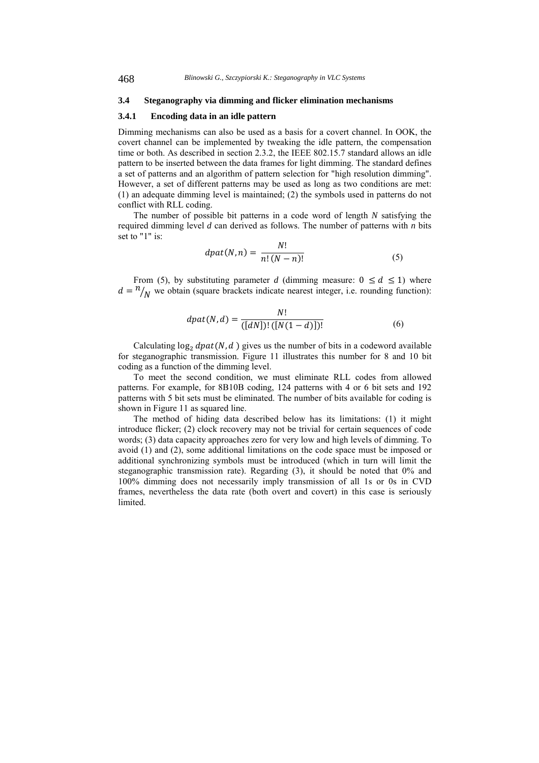#### **3.4 Steganography via dimming and flicker elimination mechanisms**

#### **3.4.1 Encoding data in an idle pattern**

Dimming mechanisms can also be used as a basis for a covert channel. In OOK, the covert channel can be implemented by tweaking the idle pattern, the compensation time or both. As described in section 2.3.2, the IEEE 802.15.7 standard allows an idle pattern to be inserted between the data frames for light dimming. The standard defines a set of patterns and an algorithm of pattern selection for "high resolution dimming". However, a set of different patterns may be used as long as two conditions are met: (1) an adequate dimming level is maintained; (2) the symbols used in patterns do not conflict with RLL coding.

The number of possible bit patterns in a code word of length *N* satisfying the required dimming level *d* can derived as follows. The number of patterns with *n* bits set to "1" is:  $\ddot{\cdot}$ 

$$
dpat(N,n) = \frac{N!}{n!(N-n)!}
$$
\n(5)

From (5), by substituting parameter *d* (dimming measure:  $0 \le d \le 1$ ) where  $d = \frac{n}{N}$  we obtain (square brackets indicate nearest integer, i.e. rounding function):

$$
dpat(N,d) = \frac{N!}{([dN])!([N(1-d)])!}
$$
\n(6)

Calculating  $\log_2$  dpat(N, d) gives us the number of bits in a codeword available for steganographic transmission. Figure 11 illustrates this number for 8 and 10 bit coding as a function of the dimming level.

To meet the second condition, we must eliminate RLL codes from allowed patterns. For example, for 8B10B coding, 124 patterns with 4 or 6 bit sets and 192 patterns with 5 bit sets must be eliminated. The number of bits available for coding is shown in Figure 11 as squared line.

The method of hiding data described below has its limitations: (1) it might introduce flicker; (2) clock recovery may not be trivial for certain sequences of code words; (3) data capacity approaches zero for very low and high levels of dimming. To avoid (1) and (2), some additional limitations on the code space must be imposed or additional synchronizing symbols must be introduced (which in turn will limit the steganographic transmission rate). Regarding (3), it should be noted that 0% and 100% dimming does not necessarily imply transmission of all 1s or 0s in CVD frames, nevertheless the data rate (both overt and covert) in this case is seriously **limited**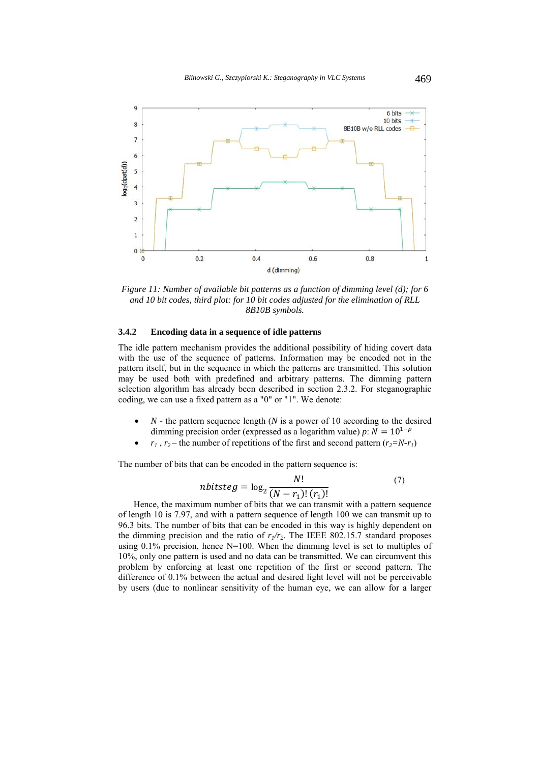

*Figure 11: Number of available bit patterns as a function of dimming level (d); for 6 and 10 bit codes, third plot: for 10 bit codes adjusted for the elimination of RLL 8B10B symbols.* 

#### **3.4.2 Encoding data in a sequence of idle patterns**

The idle pattern mechanism provides the additional possibility of hiding covert data with the use of the sequence of patterns. Information may be encoded not in the pattern itself, but in the sequence in which the patterns are transmitted. This solution may be used both with predefined and arbitrary patterns. The dimming pattern selection algorithm has already been described in section 2.3.2. For steganographic coding, we can use a fixed pattern as a "0" or "1". We denote:

- *N* the pattern sequence length (*N* is a power of 10 according to the desired dimming precision order (expressed as a logarithm value) *p*:  $N = 10^{1-p}$
- $r_1$ ,  $r_2$  the number of repetitions of the first and second pattern  $(r_2=N-r_1)$

The number of bits that can be encoded in the pattern sequence is:

$$
mbits teg = \log_2 \frac{N!}{(N - r_1)!(r_1)!}
$$
\n<sup>(7)</sup>

Hence, the maximum number of bits that we can transmit with a pattern sequence of length 10 is 7.97, and with a pattern sequence of length 100 we can transmit up to 96.3 bits. The number of bits that can be encoded in this way is highly dependent on the dimming precision and the ratio of  $r_1/r_2$ . The IEEE 802.15.7 standard proposes using  $0.1\%$  precision, hence N=100. When the dimming level is set to multiples of 10%, only one pattern is used and no data can be transmitted. We can circumvent this problem by enforcing at least one repetition of the first or second pattern. The difference of 0.1% between the actual and desired light level will not be perceivable by users (due to nonlinear sensitivity of the human eye, we can allow for a larger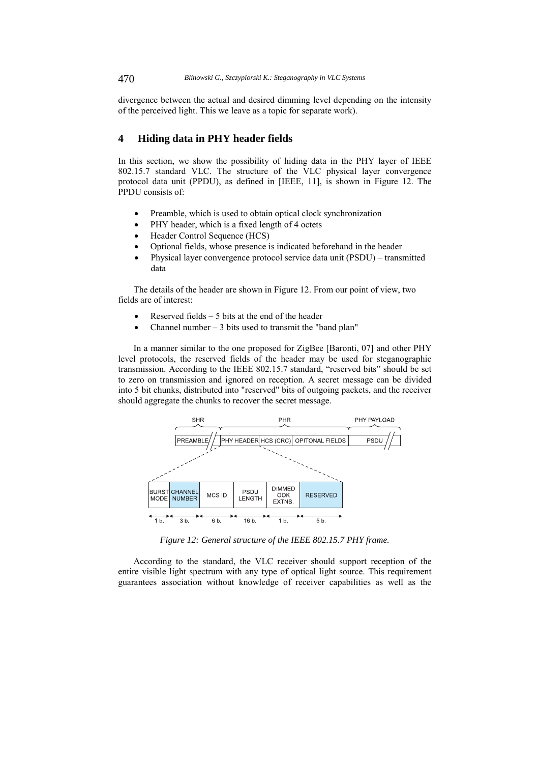divergence between the actual and desired dimming level depending on the intensity of the perceived light. This we leave as a topic for separate work).

# **4 Hiding data in PHY header fields**

In this section, we show the possibility of hiding data in the PHY layer of IEEE 802.15.7 standard VLC. The structure of the VLC physical layer convergence protocol data unit (PPDU), as defined in [IEEE, 11], is shown in Figure 12. The PPDU consists of:

- Preamble, which is used to obtain optical clock synchronization
- PHY header, which is a fixed length of 4 octets
- Header Control Sequence (HCS)
- Optional fields, whose presence is indicated beforehand in the header
- Physical layer convergence protocol service data unit (PSDU) transmitted data

The details of the header are shown in Figure 12. From our point of view, two fields are of interest:

- Reserved fields 5 bits at the end of the header
- Channel number  $-3$  bits used to transmit the "band plan"

In a manner similar to the one proposed for ZigBee [Baronti, 07] and other PHY level protocols, the reserved fields of the header may be used for steganographic transmission. According to the IEEE 802.15.7 standard, "reserved bits" should be set to zero on transmission and ignored on reception. A secret message can be divided into 5 bit chunks, distributed into "reserved" bits of outgoing packets, and the receiver should aggregate the chunks to recover the secret message.



*Figure 12: General structure of the IEEE 802.15.7 PHY frame.* 

According to the standard, the VLC receiver should support reception of the entire visible light spectrum with any type of optical light source. This requirement guarantees association without knowledge of receiver capabilities as well as the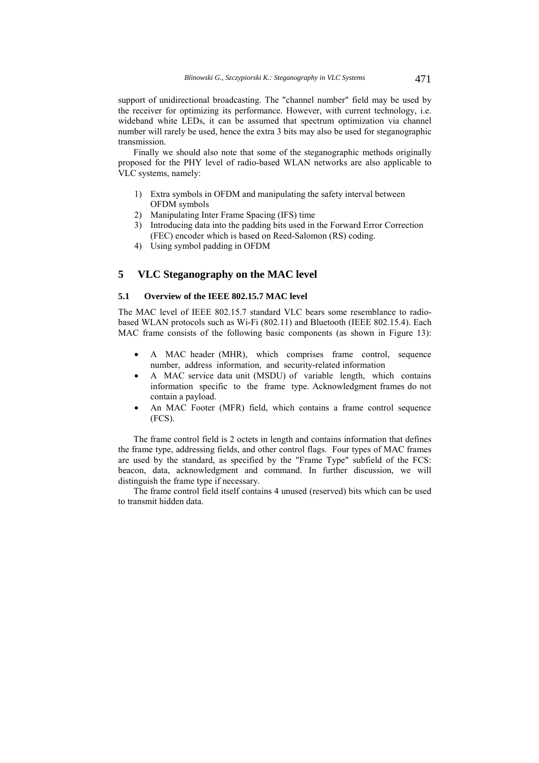support of unidirectional broadcasting. The "channel number" field may be used by the receiver for optimizing its performance. However, with current technology, i.e. wideband white LEDs, it can be assumed that spectrum optimization via channel number will rarely be used, hence the extra 3 bits may also be used for steganographic transmission.

Finally we should also note that some of the steganographic methods originally proposed for the PHY level of radio-based WLAN networks are also applicable to VLC systems, namely:

- 1) Extra symbols in OFDM and manipulating the safety interval between OFDM symbols
- 2) Manipulating Inter Frame Spacing (IFS) time
- 3) Introducing data into the padding bits used in the Forward Error Correction (FEC) encoder which is based on Reed-Salomon (RS) coding.
- 4) Using symbol padding in OFDM

# **5 VLC Steganography on the MAC level**

## **5.1 Overview of the IEEE 802.15.7 MAC level**

The MAC level of IEEE 802.15.7 standard VLC bears some resemblance to radiobased WLAN protocols such as Wi-Fi (802.11) and Bluetooth (IEEE 802.15.4). Each MAC frame consists of the following basic components (as shown in Figure 13):

- A MAC header (MHR), which comprises frame control, sequence number, address information, and security-related information
- A MAC service data unit (MSDU) of variable length, which contains information specific to the frame type. Acknowledgment frames do not contain a payload.
- An MAC Footer (MFR) field, which contains a frame control sequence (FCS).

The frame control field is 2 octets in length and contains information that defines the frame type, addressing fields, and other control flags. Four types of MAC frames are used by the standard, as specified by the "Frame Type" subfield of the FCS: beacon, data, acknowledgment and command. In further discussion, we will distinguish the frame type if necessary.

The frame control field itself contains 4 unused (reserved) bits which can be used to transmit hidden data.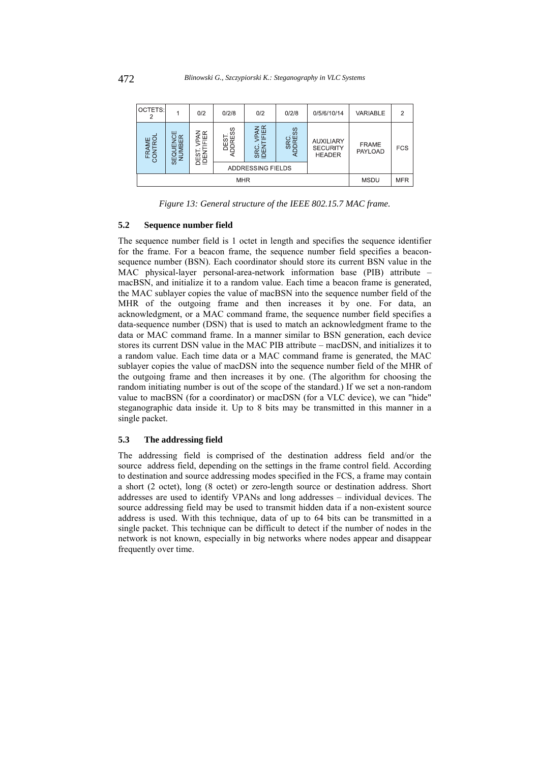| OCTETS:            |                                                                     | 0/2              | 0/2/8          | 0/2                        | 0/2/8         | 0/5/6/10/14                                          | VARIABLE                       | $\overline{2}$ |
|--------------------|---------------------------------------------------------------------|------------------|----------------|----------------------------|---------------|------------------------------------------------------|--------------------------------|----------------|
| AME<br>ITROI<br>δÏ | ш<br>$\alpha$<br>ż<br>MBEI<br>ш<br>$\sigma$<br>$\overline{z}$<br>₩, | ≹⊞<br><b>ABS</b> | DEST<br>JORESS | PAN<br>FIER<br>SRC<br>IDEN | SRC<br>DDRESS | <b>AUXILIARY</b><br><b>SECURITY</b><br><b>HEADER</b> | <b>FRAME</b><br><b>PAYLOAD</b> | <b>FCS</b>     |
|                    |                                                                     |                  |                | ADDRESSING FIELDS          |               |                                                      |                                |                |
| <b>MHR</b>         |                                                                     |                  |                |                            | <b>MSDU</b>   | <b>MFR</b>                                           |                                |                |

*Figure 13: General structure of the IEEE 802.15.7 MAC frame.* 

### **5.2 Sequence number field**

The sequence number field is 1 octet in length and specifies the sequence identifier for the frame. For a beacon frame, the sequence number field specifies a beaconsequence number (BSN). Each coordinator should store its current BSN value in the MAC physical-layer personal-area-network information base (PIB) attribute – macBSN, and initialize it to a random value. Each time a beacon frame is generated, the MAC sublayer copies the value of macBSN into the sequence number field of the MHR of the outgoing frame and then increases it by one. For data, an acknowledgment, or a MAC command frame, the sequence number field specifies a data-sequence number (DSN) that is used to match an acknowledgment frame to the data or MAC command frame. In a manner similar to BSN generation, each device stores its current DSN value in the MAC PIB attribute – macDSN, and initializes it to a random value. Each time data or a MAC command frame is generated, the MAC sublayer copies the value of macDSN into the sequence number field of the MHR of the outgoing frame and then increases it by one. (The algorithm for choosing the random initiating number is out of the scope of the standard.) If we set a non-random value to macBSN (for a coordinator) or macDSN (for a VLC device), we can "hide" steganographic data inside it. Up to 8 bits may be transmitted in this manner in a single packet.

### **5.3 The addressing field**

The addressing field is comprised of the destination address field and/or the source address field, depending on the settings in the frame control field. According to destination and source addressing modes specified in the FCS, a frame may contain a short (2 octet), long (8 octet) or zero-length source or destination address. Short addresses are used to identify VPANs and long addresses – individual devices. The source addressing field may be used to transmit hidden data if a non-existent source address is used. With this technique, data of up to 64 bits can be transmitted in a single packet. This technique can be difficult to detect if the number of nodes in the network is not known, especially in big networks where nodes appear and disappear frequently over time.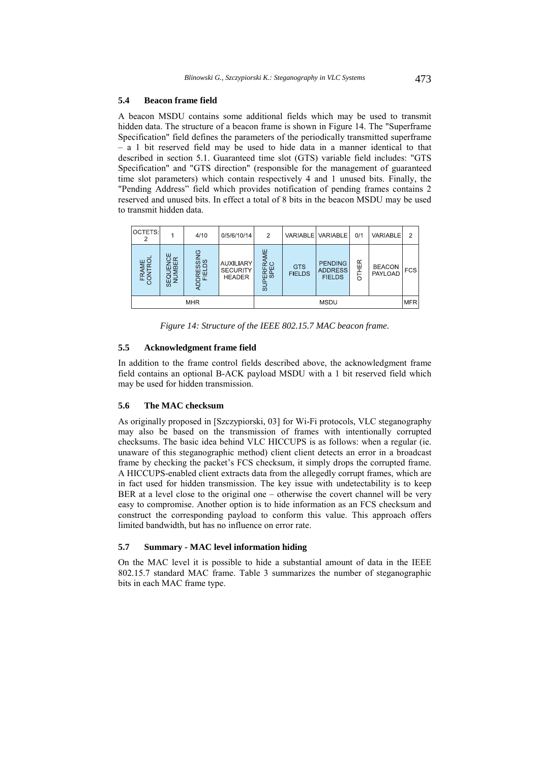#### **5.4 Beacon frame field**

A beacon MSDU contains some additional fields which may be used to transmit hidden data. The structure of a beacon frame is shown in Figure 14. The "Superframe Specification" field defines the parameters of the periodically transmitted superframe – a 1 bit reserved field may be used to hide data in a manner identical to that described in section 5.1. Guaranteed time slot (GTS) variable field includes: "GTS Specification" and "GTS direction" (responsible for the management of guaranteed time slot parameters) which contain respectively 4 and 1 unused bits. Finally, the "Pending Address" field which provides notification of pending frames contains 2 reserved and unused bits. In effect a total of 8 bits in the beacon MSDU may be used to transmit hidden data.

| OCTETS:          |                                    | 4/10                 | 0/5/6/10/14                                          | 2                                            |                             | VARIABLE VARIABLE                                 | 0/1                 | VARIABLE                        | $\overline{2}$ |
|------------------|------------------------------------|----------------------|------------------------------------------------------|----------------------------------------------|-----------------------------|---------------------------------------------------|---------------------|---------------------------------|----------------|
| FRAME<br>CONTROL | ш<br>EQUENCE<br>NUMBER<br>$\omega$ | ADDRESSING<br>FIELDS | <b>AUXILIARY</b><br><b>SECURITY</b><br><b>HEADER</b> | ΨE<br><b>ERFRAI</b><br>SPEC<br>$\frac{1}{5}$ | <b>GTS</b><br><b>FIELDS</b> | <b>PENDING</b><br><b>ADDRESS</b><br><b>FIELDS</b> | $\propto$<br>핒<br>5 | <b>BEACON</b><br><b>PAYLOAD</b> | <b>FCS</b>     |
| <b>MHR</b>       |                                    |                      | <b>MSDU</b>                                          |                                              |                             |                                                   |                     | <b>MFR</b>                      |                |

*Figure 14: Structure of the IEEE 802.15.7 MAC beacon frame.* 

## **5.5 Acknowledgment frame field**

In addition to the frame control fields described above, the acknowledgment frame field contains an optional B-ACK payload MSDU with a 1 bit reserved field which may be used for hidden transmission.

## **5.6 The MAC checksum**

As originally proposed in [Szczypiorski, 03] for Wi-Fi protocols, VLC steganography may also be based on the transmission of frames with intentionally corrupted checksums. The basic idea behind VLC HICCUPS is as follows: when a regular (ie. unaware of this steganographic method) client client detects an error in a broadcast frame by checking the packet's FCS checksum, it simply drops the corrupted frame. A HICCUPS-enabled client extracts data from the allegedly corrupt frames, which are in fact used for hidden transmission. The key issue with undetectability is to keep BER at a level close to the original one – otherwise the covert channel will be very easy to compromise. Another option is to hide information as an FCS checksum and construct the corresponding payload to conform this value. This approach offers limited bandwidth, but has no influence on error rate.

#### **5.7 Summary - MAC level information hiding**

On the MAC level it is possible to hide a substantial amount of data in the IEEE 802.15.7 standard MAC frame. Table 3 summarizes the number of steganographic bits in each MAC frame type.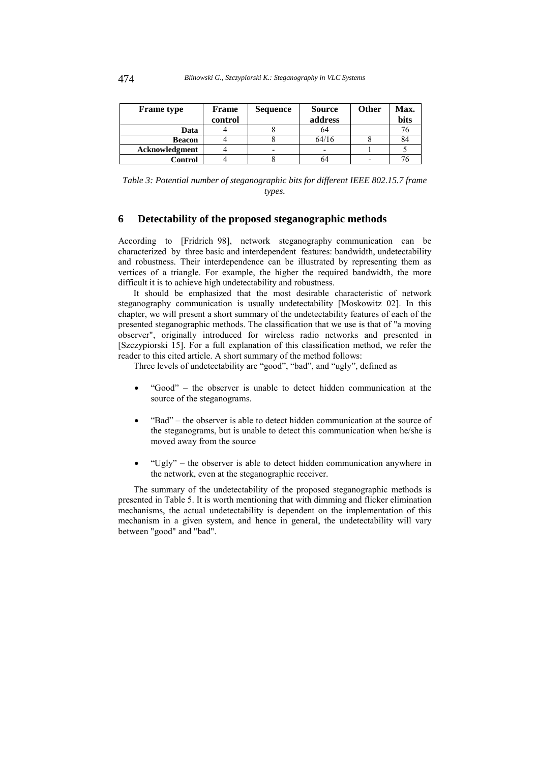| <b>Frame</b> type | <b>Frame</b> | <b>Sequence</b>          | <b>Source</b>            | <b>Other</b> | Max. |
|-------------------|--------------|--------------------------|--------------------------|--------------|------|
|                   | control      |                          | address                  |              | bits |
| Data              |              |                          | 64                       |              |      |
| <b>Beacon</b>     |              |                          | 64/16                    |              | 84   |
| Acknowledgment    |              | $\overline{\phantom{0}}$ | $\overline{\phantom{0}}$ |              |      |
| Control           |              |                          | 64                       |              |      |

*Table 3: Potential number of steganographic bits for different IEEE 802.15.7 frame types.* 

# **6 Detectability of the proposed steganographic methods**

According to [Fridrich 98], network steganography communication can be characterized by three basic and interdependent features: bandwidth, undetectability and robustness. Their interdependence can be illustrated by representing them as vertices of a triangle. For example, the higher the required bandwidth, the more difficult it is to achieve high undetectability and robustness.

It should be emphasized that the most desirable characteristic of network steganography communication is usually undetectability [Moskowitz 02]. In this chapter, we will present a short summary of the undetectability features of each of the presented steganographic methods. The classification that we use is that of "a moving observer", originally introduced for wireless radio networks and presented in [Szczypiorski 15]. For a full explanation of this classification method, we refer the reader to this cited article. A short summary of the method follows:

Three levels of undetectability are "good", "bad", and "ugly", defined as

- "Good" the observer is unable to detect hidden communication at the source of the steganograms.
- "Bad" the observer is able to detect hidden communication at the source of the steganograms, but is unable to detect this communication when he/she is moved away from the source
- $\bullet$  "Ugly" the observer is able to detect hidden communication anywhere in the network, even at the steganographic receiver.

The summary of the undetectability of the proposed steganographic methods is presented in Table 5. It is worth mentioning that with dimming and flicker elimination mechanisms, the actual undetectability is dependent on the implementation of this mechanism in a given system, and hence in general, the undetectability will vary between "good" and "bad".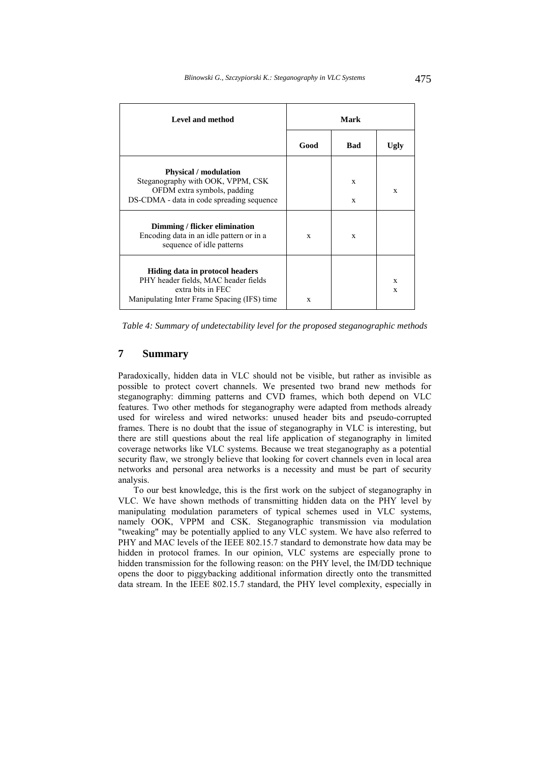| <b>Level and method</b>                                                                                                                       | Mark |            |        |  |
|-----------------------------------------------------------------------------------------------------------------------------------------------|------|------------|--------|--|
|                                                                                                                                               | Good | <b>Bad</b> | Ugly   |  |
| <b>Physical / modulation</b><br>Steganography with OOK, VPPM, CSK<br>OFDM extra symbols, padding<br>DS-CDMA - data in code spreading sequence |      | X<br>X     | X      |  |
| Dimming / flicker elimination<br>Encoding data in an idle pattern or in a<br>sequence of idle patterns                                        | X    | X          |        |  |
| Hiding data in protocol headers<br>PHY header fields, MAC header fields<br>extra bits in FEC<br>Manipulating Inter Frame Spacing (IFS) time   | X    |            | X<br>X |  |

*Table 4: Summary of undetectability level for the proposed steganographic methods* 

# **7 Summary**

Paradoxically, hidden data in VLC should not be visible, but rather as invisible as possible to protect covert channels. We presented two brand new methods for steganography: dimming patterns and CVD frames, which both depend on VLC features. Two other methods for steganography were adapted from methods already used for wireless and wired networks: unused header bits and pseudo-corrupted frames. There is no doubt that the issue of steganography in VLC is interesting, but there are still questions about the real life application of steganography in limited coverage networks like VLC systems. Because we treat steganography as a potential security flaw, we strongly believe that looking for covert channels even in local area networks and personal area networks is a necessity and must be part of security analysis.

To our best knowledge, this is the first work on the subject of steganography in VLC. We have shown methods of transmitting hidden data on the PHY level by manipulating modulation parameters of typical schemes used in VLC systems, namely OOK, VPPM and CSK. Steganographic transmission via modulation "tweaking" may be potentially applied to any VLC system. We have also referred to PHY and MAC levels of the IEEE 802.15.7 standard to demonstrate how data may be hidden in protocol frames. In our opinion, VLC systems are especially prone to hidden transmission for the following reason: on the PHY level, the IM/DD technique opens the door to piggybacking additional information directly onto the transmitted data stream. In the IEEE 802.15.7 standard, the PHY level complexity, especially in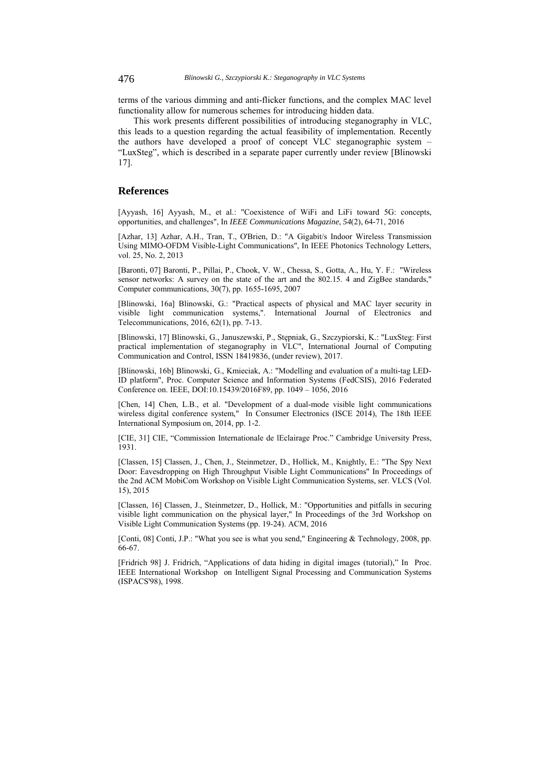terms of the various dimming and anti-flicker functions, and the complex MAC level functionality allow for numerous schemes for introducing hidden data.

This work presents different possibilities of introducing steganography in VLC, this leads to a question regarding the actual feasibility of implementation. Recently the authors have developed a proof of concept VLC steganographic system – "LuxSteg", which is described in a separate paper currently under review [Blinowski 17].

## **References**

[Ayyash, 16] Ayyash, M., et al.: "Coexistence of WiFi and LiFi toward 5G: concepts, opportunities, and challenges", In *IEEE Communications Magazine*, *54*(2), 64-71, 2016

[Azhar, 13] Azhar, A.H., Tran, T., O'Brien, D.: "A Gigabit/s Indoor Wireless Transmission Using MIMO-OFDM Visible-Light Communications", In IEEE Photonics Technology Letters, vol. 25, No. 2, 2013

[Baronti, 07] Baronti, P., Pillai, P., Chook, V. W., Chessa, S., Gotta, A., Hu, Y. F.: "Wireless sensor networks: A survey on the state of the art and the 802.15. 4 and ZigBee standards," Computer communications, 30(7), pp. 1655-1695, 2007

[Blinowski, 16a] Blinowski, G.: "Practical aspects of physical and MAC layer security in visible light communication systems,". International Journal of Electronics and Telecommunications, 2016, 62(1), pp. 7-13.

[Blinowski, 17] Blinowski, G., Januszewski, P., Stępniak, G., Szczypiorski, K.: "LuxSteg: First practical implementation of steganography in VLC", International Journal of Computing Communication and Control, ISSN 18419836, (under review), 2017.

[Blinowski, 16b] Blinowski, G., Kmieciak, A.: "Modelling and evaluation of a multi-tag LED-ID platform", Proc. Computer Science and Information Systems (FedCSIS), 2016 Federated Conference on. IEEE, DOI:10.15439/2016F89, pp. 1049 – 1056, 2016

[Chen, 14] Chen, L.B., et al. "Development of a dual-mode visible light communications wireless digital conference system," In Consumer Electronics (ISCE 2014), The 18th IEEE International Symposium on, 2014, pp. 1-2.

[CIE, 31] CIE, "Commission Internationale de lEclairage Proc." Cambridge University Press, 1931.

[Classen, 15] Classen, J., Chen, J., Steinmetzer, D., Hollick, M., Knightly, E.: "The Spy Next Door: Eavesdropping on High Throughput Visible Light Communications" In Proceedings of the 2nd ACM MobiCom Workshop on Visible Light Communication Systems, ser. VLCS (Vol. 15), 2015

[Classen, 16] Classen, J., Steinmetzer, D., Hollick, M.: "Opportunities and pitfalls in securing visible light communication on the physical layer," In Proceedings of the 3rd Workshop on Visible Light Communication Systems (pp. 19-24). ACM, 2016

[Conti, 08] Conti, J.P.: "What you see is what you send," Engineering & Technology, 2008, pp. 66-67.

[Fridrich 98] J. Fridrich, "Applications of data hiding in digital images (tutorial)," In Proc. IEEE International Workshop on Intelligent Signal Processing and Communication Systems (ISPACS'98), 1998.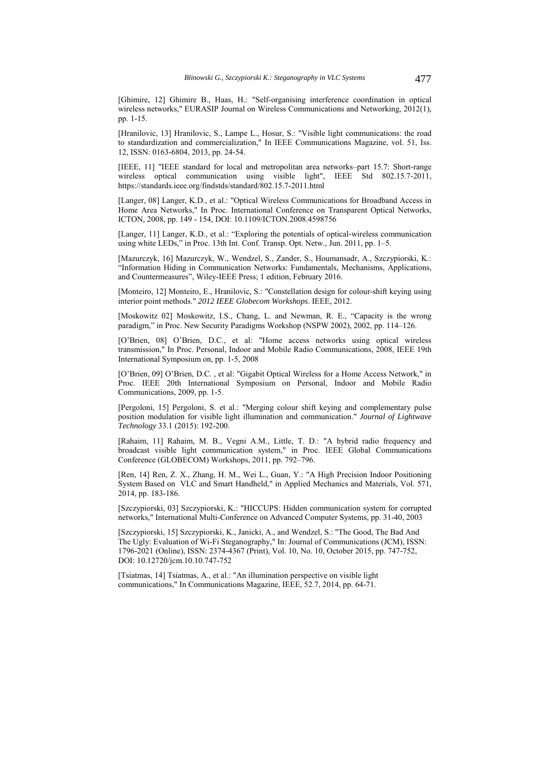[Ghimire, 12] Ghimire B., Haas, H.: "Self-organising interference coordination in optical wireless networks," EURASIP Journal on Wireless Communications and Networking, 2012(1), pp. 1-15.

[Hranilovic, 13] Hranilovic, S., Lampe L., Hosur, S.: "Visible light communications: the road to standardization and commercialization," In IEEE Communications Magazine, vol. 51, Iss. 12, ISSN: 0163-6804, 2013, pp. 24-54.

[IEEE, 11] "IEEE standard for local and metropolitan area networks–part 15.7: Short-range wireless optical communication using visible light", IEEE Std 802.15.7-2011, https://standards.ieee.org/findstds/standard/802.15.7-2011.html

[Langer, 08] Langer, K.D., et al.: "Optical Wireless Communications for Broadband Access in Home Area Networks," In Proc. International Conference on Transparent Optical Networks, ICTON, 2008, pp. 149 - 154, DOI: 10.1109/ICTON.2008.4598756

[Langer, 11] Langer, K.D., et al.: "Exploring the potentials of optical-wireless communication using white LEDs," in Proc. 13th Int. Conf. Transp. Opt. Netw., Jun. 2011, pp. 1-5.

[Mazurczyk, 16] Mazurczyk, W., Wendzel, S., Zander, S., Houmansadr, A., Szczypiorski, K.: "Information Hiding in Communication Networks: Fundamentals, Mechanisms, Applications, and Countermeasures", Wiley-IEEE Press; 1 edition, February 2016.

[Monteiro, 12] Monteiro, E., Hranilovic, S.: "Constellation design for colour-shift keying using interior point methods." *2012 IEEE Globecom Workshops*. IEEE, 2012.

[Moskowitz 02] Moskowitz, I.S., Chang, L. and Newman, R. E., "Capacity is the wrong paradigm," in Proc. New Security Paradigms Workshop (NSPW 2002), 2002, pp. 114–126.

[O'Brien, 08] O'Brien, D.C., et al: "Home access networks using optical wireless transmission," In Proc. Personal, Indoor and Mobile Radio Communications, 2008, IEEE 19th International Symposium on, pp. 1-5, 2008

[O'Brien, 09] O'Brien, D.C. , et al: "Gigabit Optical Wireless for a Home Access Network," in Proc. IEEE 20th International Symposium on Personal, Indoor and Mobile Radio Communications, 2009, pp. 1-5.

[Pergoloni, 15] Pergoloni, S. et al.: "Merging colour shift keying and complementary pulse position modulation for visible light illumination and communication." *Journal of Lightwave Technology* 33.1 (2015): 192-200.

[Rahaim, 11] Rahaim, M. B., Vegni A.M., Little, T. D.: "A hybrid radio frequency and broadcast visible light communication system," in Proc. IEEE Global Communications Conference (GLOBECOM) Workshops, 2011, pp. 792–796.

[Ren, 14] Ren, Z. X., Zhang, H. M., Wei L., Guan, Y.: "A High Precision Indoor Positioning System Based on VLC and Smart Handheld," in Applied Mechanics and Materials, Vol. 571, 2014, pp. 183-186.

[Szczypiorski, 03] Szczypiorski, K.: "HICCUPS: Hidden communication system for corrupted networks," International Multi-Conference on Advanced Computer Systems, pp. 31-40, 2003

[Szczypiorski, 15] Szczypiorski, K., Janicki, A., and Wendzel, S.: "The Good, The Bad And The Ugly: Evaluation of Wi-Fi Steganography," In: Journal of Communications (JCM), ISSN: 1796-2021 (Online), ISSN: 2374-4367 (Print), Vol. 10, No. 10, October 2015, pp. 747-752, DOI: 10.12720/jcm.10.10.747-752

[Tsiatmas, 14] Tsiatmas, A., et al.: "An illumination perspective on visible light communications," In Communications Magazine, IEEE, 52.7, 2014, pp. 64-71.